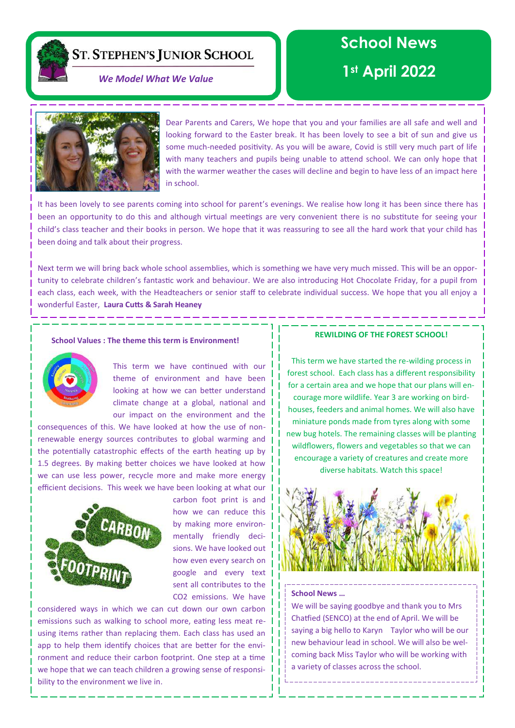**ST. STEPHEN'S JUNIOR SCHOOL** 

# **School News**

# **1st April 2022** *We Model What We Value*



Dear Parents and Carers, We hope that you and your families are all safe and well and looking forward to the Easter break. It has been lovely to see a bit of sun and give us some much-needed positivity. As you will be aware, Covid is still very much part of life with many teachers and pupils being unable to attend school. We can only hope that with the warmer weather the cases will decline and begin to have less of an impact here in school.

It has been lovely to see parents coming into school for parent's evenings. We realise how long it has been since there has been an opportunity to do this and although virtual meetings are very convenient there is no substitute for seeing your child's class teacher and their books in person. We hope that it was reassuring to see all the hard work that your child has been doing and talk about their progress.

Next term we will bring back whole school assemblies, which is something we have very much missed. This will be an opportunity to celebrate children's fantastic work and behaviour. We are also introducing Hot Chocolate Friday, for a pupil from each class, each week, with the Headteachers or senior staff to celebrate individual success. We hope that you all enjoy a wonderful Easter, **Laura Cutts & Sarah Heaney**

### **School Values : The theme this term is Environment!**



This term we have continued with our theme of environment and have been looking at how we can better understand climate change at a global, national and our impact on the environment and the

consequences of this. We have looked at how the use of nonrenewable energy sources contributes to global warming and the potentially catastrophic effects of the earth heating up by 1.5 degrees. By making better choices we have looked at how we can use less power, recycle more and make more energy efficient decisions. This week we have been looking at what our



carbon foot print is and how we can reduce this by making more environmentally friendly decisions. We have looked out how even every search on google and every text sent all contributes to the CO2 emissions. We have

considered ways in which we can cut down our own carbon emissions such as walking to school more, eating less meat reusing items rather than replacing them. Each class has used an app to help them identify choices that are better for the environment and reduce their carbon footprint. One step at a time we hope that we can teach children a growing sense of responsibility to the environment we live in.

#### **REWILDING OF THE FOREST SCHOOL!**

This term we have started the re-wilding process in forest school. Each class has a different responsibility for a certain area and we hope that our plans will encourage more wildlife. Year 3 are working on birdhouses, feeders and animal homes. We will also have miniature ponds made from tyres along with some new bug hotels. The remaining classes will be planting wildflowers, flowers and vegetables so that we can encourage a variety of creatures and create more diverse habitats. Watch this space!



#### **School News …**

We will be saying goodbye and thank you to Mrs Chatfied (SENCO) at the end of April. We will be saying a big hello to Karyn Taylor who will be our new behaviour lead in school. We will also be welcoming back Miss Taylor who will be working with a variety of classes across the school.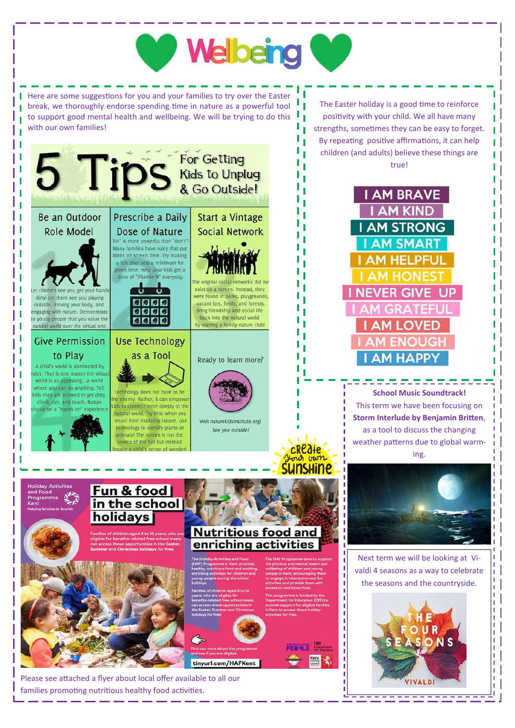

families promoting nutritious healthy food activities.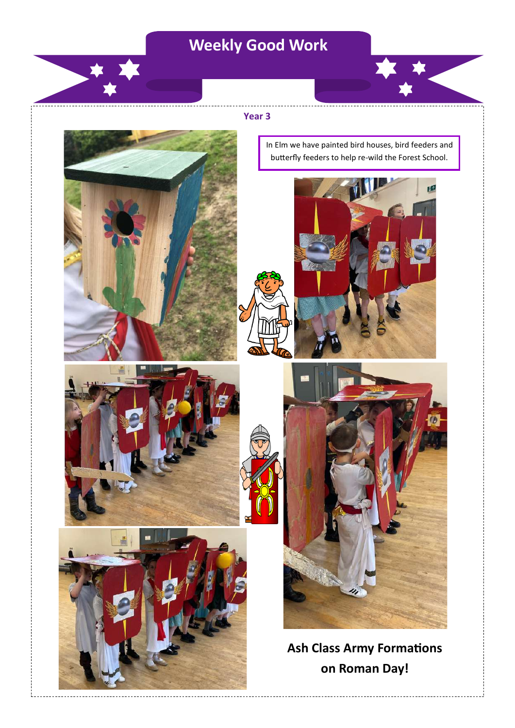# **Weekly Good Work**

### **Year 3**

In Elm we have painted bird houses, bird feeders and butterfly feeders to help re-wild the Forest School.

a.







**Ash Class Army Formations on Roman Day!**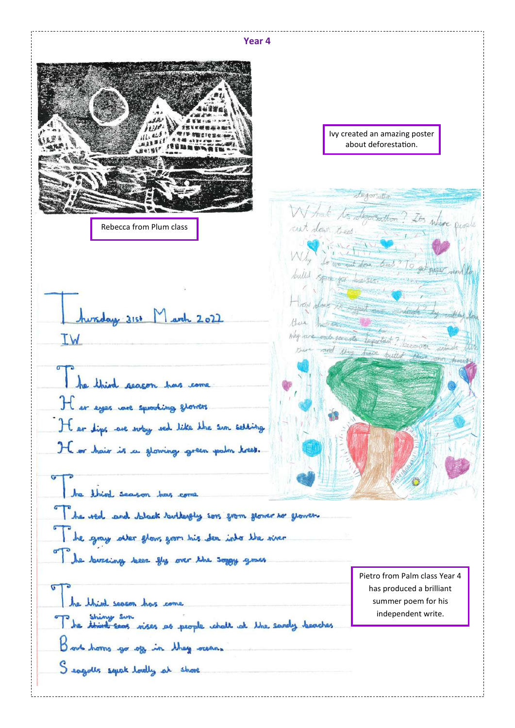**Year 4**  Ivy created an amazing poster about deforestation. degoration W hat to description? Its where people cut down trees. Rebecca from Plum class Ivy created an amazing put down bus "To get bulled spoke for houses How along the papert manufacturer hursday 3153 March 2022 there home why are said good to tapartout? learning side IW there and they trace builted he third reason has come Her eyes we speculing stowers It ar dips are way red like the sun selling He or hair is a glowing green polm trees. In third season has come The red and black turkershy sors from flower to grower. The gray atter glows grow his den into the river The lavaring been the over the soggy grass Pietro from Palm class Year 4 has produced a brilliant he think seven has come summer poem for his The things sun<br>The third seas nises as people whall at the sandy beaches independent write. Book home go of in they rearn Seagults sepak loadly at shore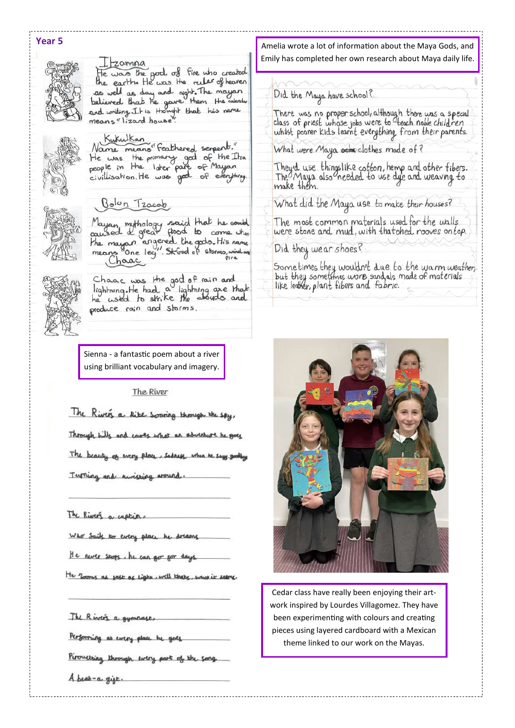## **Year 5**



## $20$ mna

He was the good of fire who created<br>the earth. He was the ruler of heaven as well as day and night. The mayan<br>believed that he gave them the calendary<br>and writing. It is thought that his name

Kukulkan Name means" Feathered serpents." He was the primary god of the Itza people in the later part of Mayan civillisation. He was good of everything





Mayan mythology said that he could<br>quised a great flood to come when caused a year<br>the mayon angered the gods. His name<br>means "One leg". Skbod of storms, wind an Charc



Chaac was the god of rain and<br>lightning. He had a lightning are that<br>he used to strike the abouds and produce rain and storms.

Sienna - a fantastic poem about a river using brilliant vocabulary and imagery.

The River

The Rivers a lite sooning through the say

Through hills and cares what an adventure he

The beauty of every place, sodress

Turning and kinisting around

The Rivers a capture

Who Sails to every place he

He never stops. he can go for day

He Tooms as sast as light, will khate, what it seems

The Rivers a gymnas

Performing at every place he

Pirouetsing through every part of the song

A beat-a gift.

Amelia wrote a lot of information about the Maya Gods, and Emily has completed her own research about Maya daily life.

Did the Maya have school?

There was no proper school, although there was a special<br>class of priest whose jobs were to Leach noble child ren whilst poorer kids learnt everything from their parents.

What were Maya sense clothes made of?

They'd use thingslike cotton, hemp and other fibers.<br>The Maya also needed to use dye and weaving to make them.

What did the Maya use to make their houses?

The most common materials used for the walls were stone and mud, with thatched rooves on top.

Did they we ar shoes?

Some times they wouldn't due to the warm weather,<br>but they sometimes wore sandals made of materials<br>like leather, plant fibers and fabric.



Cedar class have really been enjoying their artwork inspired by Lourdes Villagomez. They have been experimenting with colours and creating pieces using layered cardboard with a Mexican theme linked to our work on the Mayas.